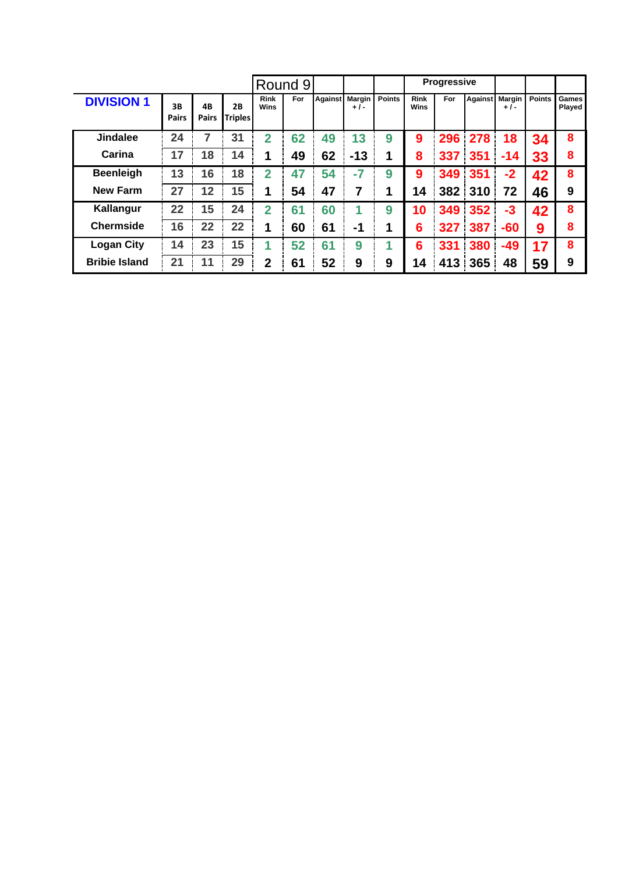|                      |                    |                    |                      |                     | Round 9 |    |                       |               |                            | <b>Progressive</b> |     |                         |               |                 |
|----------------------|--------------------|--------------------|----------------------|---------------------|---------|----|-----------------------|---------------|----------------------------|--------------------|-----|-------------------------|---------------|-----------------|
| <b>DIVISION 1</b>    | 3B<br><b>Pairs</b> | 4B<br><b>Pairs</b> | 2B<br><b>Triples</b> | <b>Rink</b><br>Wins | For     |    | Against Margin<br>+1- | <b>Points</b> | <b>Rink</b><br><b>Wins</b> | <b>For</b>         |     | Against Margin<br>$+1-$ | <b>Points</b> | Games<br>Played |
| <b>Jindalee</b>      | 24                 | 7                  | 31                   | $\overline{2}$      | 62      | 49 | 13                    | 9             | 9                          | 296                | 278 | 18                      | 34            | 8               |
| Carina               | 17                 | 18                 | 14                   | 1                   | 49      | 62 | $-13$                 | 1             | 8                          | 337                | 351 | -14                     | 33            | 8               |
| <b>Beenleigh</b>     | 13                 | 16                 | 18                   | $\overline{2}$      | 47      | 54 | $-7$                  | 9             | 9                          | 349                | 351 | $-2$                    | 42            | 8               |
| <b>New Farm</b>      | 27                 | 12                 | 15                   | 1                   | 54      | 47 | 7                     |               | 14                         | 382 <sup>1</sup>   | 310 | 72                      | 46            | 9               |
| Kallangur            | 22                 | 15                 | 24                   | $\overline{2}$      | 61      | 60 |                       | 9             | 10                         | 349                | 352 | -3                      | 42            | 8               |
| <b>Chermside</b>     | 16                 | 22                 | 22                   | 1                   | 60      | 61 | -1                    |               | 6                          | 327                | 387 | $-60$                   | 9             | 8               |
| <b>Logan City</b>    | 14                 | 23                 | 15                   | 1                   | 52      | 61 | 9                     |               | 6                          | 331                | 380 | $-49$                   | 17            | 8               |
| <b>Bribie Island</b> | 21                 | 11                 | 29                   | $\overline{2}$      | 61      | 52 | 9                     | 9             | 14                         | 413                | 365 | 48                      | 59            | 9               |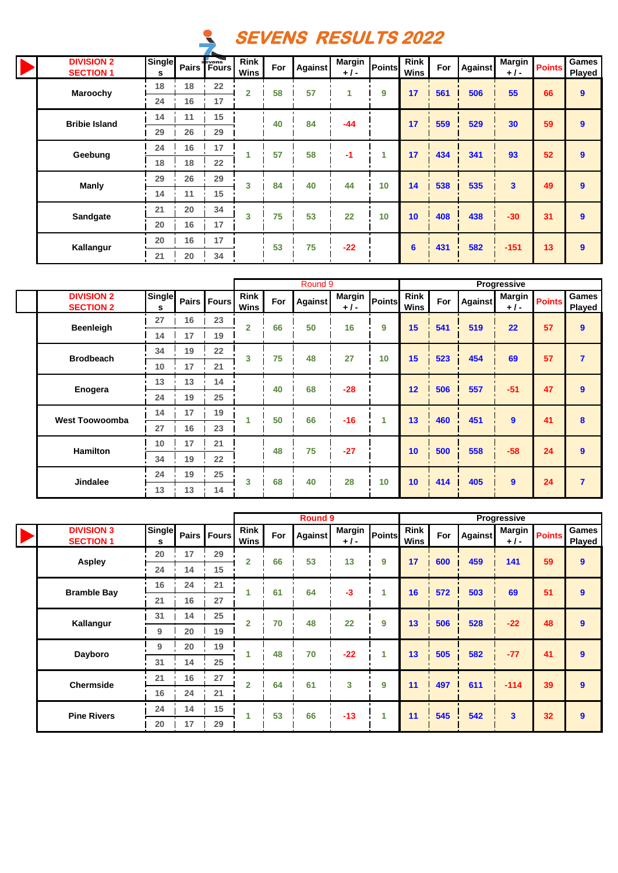

|  | <b>DIVISION 2</b><br><b>SECTION 1</b> | <b>Single</b><br>s |    | <b>Pairs</b> Fours | <b>Rink</b><br>Wins | For | <b>Against</b> | <b>Margin</b><br>$+1-$ | <b>Points</b> | <b>Rink</b><br>Wins | For | Against | <b>Margin</b><br>$+1-$  | <b>Points</b> | <b>Games</b><br>Played |
|--|---------------------------------------|--------------------|----|--------------------|---------------------|-----|----------------|------------------------|---------------|---------------------|-----|---------|-------------------------|---------------|------------------------|
|  | Maroochy                              | 18                 | 18 | 22                 | $\overline{2}$      | 58  | 57             | 4                      | 9             | 17                  | 561 | 506     | 55                      | 66            | 9                      |
|  |                                       | 24                 | 16 | 17                 |                     |     |                |                        |               |                     |     |         |                         |               |                        |
|  | <b>Bribie Island</b>                  | 14                 | 11 | 15                 |                     | 40  | 84             | -44                    |               | 17                  | 559 | 529     | 30                      | 59            | 9                      |
|  |                                       | 29                 | 26 | 29                 |                     |     |                |                        |               |                     |     |         |                         |               |                        |
|  | Geebung<br><b>Manly</b>               | 24                 | 16 | 17                 |                     | 57  | 58             | -1                     | 1             | 17                  | 434 | 341     | 93                      | 52            | 9                      |
|  |                                       | 18                 | 18 | 22                 |                     |     |                |                        |               |                     |     |         |                         |               |                        |
|  |                                       | 29                 | 26 | 29                 | 3                   | 84  | 40             | 44                     | 10            | 14                  | 538 | 535     | $\overline{\mathbf{3}}$ | 49            | 9                      |
|  |                                       | 14                 | 11 | 15                 |                     |     |                |                        |               |                     |     |         |                         |               |                        |
|  | Sandgate                              | 21                 | 20 | 34                 | 3                   | 75  | 53             | 22                     | 10            | 10                  | 408 | 438     | $-30$                   | 31            | $\overline{9}$         |
|  |                                       | 20                 | 16 | 17                 |                     |     |                |                        |               |                     |     |         |                         |               |                        |
|  | Kallangur                             | 20                 | 16 | 17                 |                     | 53  | 75             | $-22$                  |               | 6                   | 431 | 582     | $-151$                  | 13            | 9                      |
|  |                                       | 21                 | 20 | 34                 |                     |     |                |                        |               |                     |     |         |                         |               |                        |

|                                       |             |    |               |                            |     | Round 9        |                        |        |                     |     |         | Progressive            |               |                        |
|---------------------------------------|-------------|----|---------------|----------------------------|-----|----------------|------------------------|--------|---------------------|-----|---------|------------------------|---------------|------------------------|
| <b>DIVISION 2</b><br><b>SECTION 2</b> | Single<br>s |    | Pairs   Fours | <b>Rink</b><br><b>Wins</b> | For | <b>Against</b> | <b>Margin</b><br>$+1-$ | Points | <b>Rink</b><br>Wins | For | Against | <b>Margin</b><br>$+1-$ | <b>Points</b> | Games<br><b>Played</b> |
|                                       | 27          | 16 | 23            | $\overline{2}$             | 66  | 50             | 16                     | 9      | 15                  | 541 | 519     | 22                     | 57            | $\boldsymbol{9}$       |
| <b>Beenleigh</b>                      | 14          | 17 | 19            |                            |     |                |                        |        |                     |     |         |                        |               |                        |
|                                       | 34          | 19 | 22            | 3                          | 75  | 48             | 27                     |        |                     | 523 |         | 69                     | 57            | $\overline{7}$         |
| <b>Brodbeach</b>                      | 10          | 17 | 21            |                            |     |                |                        | 10     | 15                  |     | 454     |                        |               |                        |
|                                       | 13          | 13 | 14            |                            |     |                |                        |        |                     |     |         |                        |               |                        |
| Enogera                               | 24          | 19 | 25            |                            | 40  | 68             | $-28$                  |        | 12                  | 506 | 557     | $-51$                  | 47            | $\mathbf{9}$           |
| <b>West Toowoomba</b>                 | 14          | 17 | 19            |                            | 50  | 66             | $-16$                  | 1      | 13                  | 460 | 451     | $\mathbf{9}$           | 41            | 8                      |
|                                       | 27          | 16 | 23            |                            |     |                |                        |        |                     |     |         |                        |               |                        |
|                                       | 10          | 17 | 21            |                            | 48  | 75             | $-27$                  |        |                     | 500 | 558     | $-58$                  | 24            |                        |
| <b>Hamilton</b>                       | 34          | 19 | 22            |                            |     |                |                        |        | 10                  |     |         |                        |               | $\overline{9}$         |
|                                       | 24          | 19 | 25            |                            |     |                |                        |        |                     |     |         | 9                      | 24            | $\overline{7}$         |
| <b>Jindalee</b>                       | 13          | 13 | 14            | 3                          | 68  | 40             | 28                     | 10     | 10                  | 414 | 405     |                        |               |                        |

 $\lceil$ 

|  |                                       |                    |    |                | <b>Round 9</b>      |     |                |                        |        |                            |     |                | Progressive            |               |                        |
|--|---------------------------------------|--------------------|----|----------------|---------------------|-----|----------------|------------------------|--------|----------------------------|-----|----------------|------------------------|---------------|------------------------|
|  | <b>DIVISION 3</b><br><b>SECTION 1</b> | <b>Single</b><br>s |    | Pairs Fours    | <b>Rink</b><br>Wins | For | <b>Against</b> | <b>Margin</b><br>$+1-$ | Points | <b>Rink</b><br><b>Wins</b> | For | <b>Against</b> | <b>Margin</b><br>$+1-$ | <b>Points</b> | <b>Games</b><br>Played |
|  |                                       | 20                 | 17 | 29             | $\overline{2}$      | 66  | 53             | 13                     | 9      | 17                         | 600 | 459            | 141                    | 59            | 9                      |
|  | <b>Aspley</b>                         | 24                 | 14 | 15             |                     |     |                |                        |        |                            |     |                |                        |               |                        |
|  | <b>Bramble Bay</b>                    | 16                 | 24 | 21             | 1                   | 61  | 64             | $-3$                   | 1      | 16                         | 572 | 503            | 69                     | 51            | 9                      |
|  |                                       | 21                 | 16 | 27             |                     |     |                |                        |        |                            |     |                |                        |               |                        |
|  | Kallangur                             | 31                 | 14 | 25             | $\overline{2}$      | 70  | 48             | 22                     | 9      | 13                         | 506 | 528            | $-22$                  | 48            | 9                      |
|  |                                       | 9                  | 20 | 19             |                     |     |                |                        |        |                            |     |                |                        |               |                        |
|  | Dayboro                               | 9                  | 20 | 19             |                     | 48  | 70             | $-22$                  | 1      | 13                         | 505 | 582            | $-77$                  | 41            | 9                      |
|  |                                       | 31                 | 14 | 25             |                     |     |                |                        |        |                            |     |                |                        |               |                        |
|  |                                       | 27<br>16<br>21     |    | $\overline{2}$ | 64                  | 61  | 3              | 9                      | 11     | 497                        | 611 | $-114$         | 39                     | $\mathbf{9}$  |                        |
|  | <b>Chermside</b>                      | 16                 | 24 | 21             |                     |     |                |                        |        |                            |     |                |                        |               |                        |
|  | <b>Pine Rivers</b>                    | 24                 | 14 | 15             |                     | 53  | 66             | $-13$                  | 1      | 11                         | 545 | 542            | 3                      | 32            | 9                      |
|  |                                       | 20                 | 17 | 29             |                     |     |                |                        |        |                            |     |                |                        |               |                        |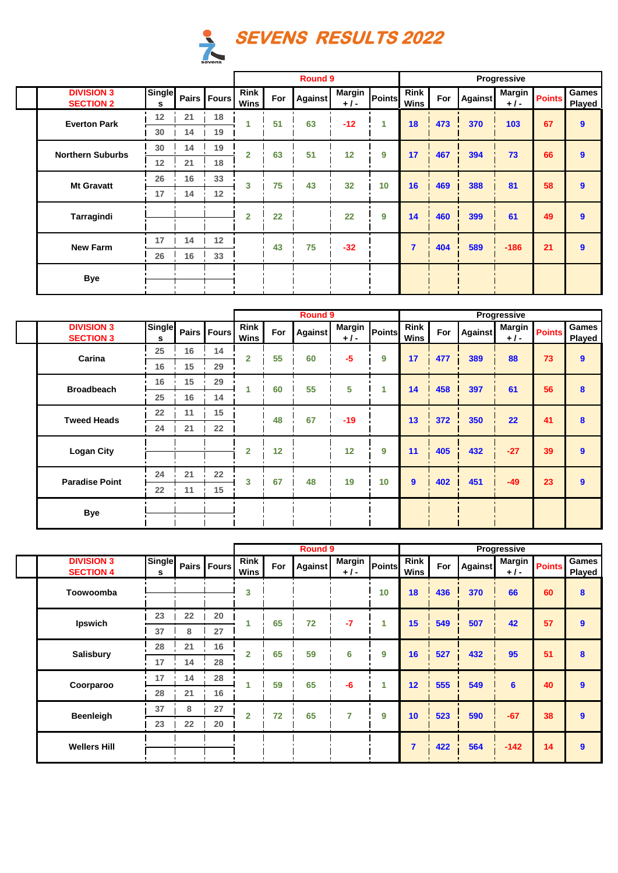

|                                       |                    |    |               |                |     | <b>Round 9</b> |                        |        |                     |     |         | Progressive     |               |                 |
|---------------------------------------|--------------------|----|---------------|----------------|-----|----------------|------------------------|--------|---------------------|-----|---------|-----------------|---------------|-----------------|
| <b>DIVISION 3</b><br><b>SECTION 2</b> | <b>Single</b><br>s |    | Pairs   Fours | Rink<br>Wins   | For | <b>Against</b> | <b>Margin</b><br>$+1-$ | Points | <b>Rink</b><br>Wins | For | Against | Margin<br>$+1-$ | <b>Points</b> | Games<br>Played |
| <b>Everton Park</b>                   | 12                 | 21 | 18            | 1              | 51  | 63             | $-12$                  | 1      | 18                  | 473 | 370     | 103             | 67            | $\mathbf{9}$    |
|                                       | 30                 | 14 | 19            |                |     |                |                        |        |                     |     |         |                 |               |                 |
| <b>Northern Suburbs</b>               | 30                 | 14 | 19            | $\mathbf{2}$   | 63  | 51             | 12                     | 9      | 17                  | 467 | 394     | 73              | 66            | $\mathbf{9}$    |
|                                       | 12                 | 21 | 18            |                |     |                |                        |        |                     |     |         |                 |               |                 |
| <b>Mt Gravatt</b>                     | 26                 | 16 | 33            | 3              | 75  | 43             | 32                     | 10     | 16                  | 469 | 388     | 81              | 58            | $\mathbf{9}$    |
|                                       | 17                 | 14 | 12            |                |     |                |                        |        |                     |     |         |                 |               |                 |
| Tarragindi                            |                    |    |               | $\overline{2}$ | 22  |                | 22                     | 9      | 14                  | 460 | 399     | 61              | 49            | $\mathbf{9}$    |
|                                       |                    |    |               |                |     |                |                        |        |                     |     |         |                 |               |                 |
| <b>New Farm</b>                       | 17                 | 14 | 12            |                | 43  | 75             | $-32$                  |        | $\overline{7}$      | 404 | 589     | $-186$          | 21            | $\mathbf{9}$    |
|                                       | 26                 | 16 | 33            |                |     |                |                        |        |                     |     |         |                 |               |                 |
| <b>Bye</b>                            |                    |    |               |                |     |                |                        |        |                     |     |         |                 |               |                 |
|                                       |                    |    |               |                |     |                |                        |        |                     |     |         |                 |               |                 |

|                                       |             |          |               |                     |     | <b>Round 9</b> |                        |               |                     |     |         | Progressive            |               |                        |
|---------------------------------------|-------------|----------|---------------|---------------------|-----|----------------|------------------------|---------------|---------------------|-----|---------|------------------------|---------------|------------------------|
| <b>DIVISION 3</b><br><b>SECTION 3</b> | Single<br>s |          | Pairs   Fours | <b>Rink</b><br>Wins | For | <b>Against</b> | <b>Margin</b><br>$+1-$ | <b>Points</b> | <b>Rink</b><br>Wins | For | Against | <b>Margin</b><br>$+1-$ | <b>Points</b> | <b>Games</b><br>Played |
| Carina                                | 25          | 16       | 14            | $\overline{2}$      | 55  | 60             | $-5$                   | 9             | 17                  | 477 | 389     | 88                     | 73            | $\mathbf{9}$           |
|                                       | 16          | 15       | 29            |                     |     |                |                        |               |                     |     |         |                        |               |                        |
|                                       | 16          | 15       | 29            |                     | 60  | 55             | 5                      |               |                     |     |         | 61                     | 56            |                        |
| <b>Broadbeach</b>                     | 25          | 16       | 14            |                     |     |                |                        |               | 14                  | 458 | 397     |                        |               | 8                      |
| <b>Tweed Heads</b>                    | 22          | 15<br>11 |               | 48                  | 67  | $-19$          |                        | 13            | 372                 | 350 | 22      | 41                     | 8             |                        |
|                                       | 24          | 21       | 22            |                     |     |                |                        |               |                     |     |         |                        |               |                        |
| <b>Logan City</b>                     |             |          |               | $\overline{2}$      | 12  |                | 12                     | 9             | 11                  | 405 | 432     | $-27$                  | 39            | $\mathbf{9}$           |
|                                       | 24          | 21       | 22            |                     |     |                |                        |               |                     |     |         |                        |               |                        |
| <b>Paradise Point</b>                 | 22          | 11       | 15            | 3                   | 67  | 48             | 19                     | 10            | 9                   | 402 | 451     | $-49$                  | 23            | $\mathbf{9}$           |
|                                       |             |          |               |                     |     |                |                        |               |                     |     |         |                        |               |                        |
| <b>Bye</b>                            |             |          |               |                     |     |                |                        |               |                     |     |         |                        |               |                        |

|                                       |             |    |               |                            | Round 9 |                |                        |        |                     |     |         | Progressive            |               |                 |
|---------------------------------------|-------------|----|---------------|----------------------------|---------|----------------|------------------------|--------|---------------------|-----|---------|------------------------|---------------|-----------------|
| <b>DIVISION 3</b><br><b>SECTION 4</b> | Single<br>s |    | Pairs   Fours | <b>Rink</b><br><b>Wins</b> | For     | <b>Against</b> | <b>Margin</b><br>$+1-$ | Points | <b>Rink</b><br>Wins | For | Against | <b>Margin</b><br>$+1-$ | <b>Points</b> | Games<br>Played |
| Toowoomba                             |             |    |               | 3                          |         |                |                        | 10     | 18                  | 436 | 370     | 66                     | 60            | 8               |
|                                       | 23          | 22 | 20            | 1                          | 65      | 72             | $-7$                   | 1      | 15                  | 549 | 507     | 42                     | 57            | $\overline{9}$  |
| Ipswich                               | 37          | 8  | 27            |                            |         |                |                        |        |                     |     |         |                        |               |                 |
|                                       | 28          | 21 | 16            | $\overline{2}$             | 65      | 59             | 6                      | 9      | 16                  | 527 | 432     | 95                     | 51            | 8               |
| <b>Salisbury</b>                      | 17          | 14 | 28            |                            |         |                |                        |        |                     |     |         |                        |               |                 |
|                                       | 17          | 14 | 28            |                            | 59      | 65             | $-6$                   | 4      | $12 \overline{ }$   | 555 | 549     | 6                      | 40            | $\mathbf{9}$    |
| Coorparoo                             | 28          | 21 | 16            |                            |         |                |                        |        |                     |     |         |                        |               |                 |
|                                       | 37          | 8  | 27            | $\overline{2}$             | 72      | 65             | 7                      | 9      | 10                  | 523 | 590     | $-67$                  | 38            | $\overline{9}$  |
| <b>Beenleigh</b>                      | 23          | 22 | 20            |                            |         |                |                        |        |                     |     |         |                        |               |                 |
| <b>Wellers Hill</b>                   |             |    |               |                            |         |                |                        |        | $\overline{7}$      | 422 | 564     | $-142$                 | 14            | $\overline{9}$  |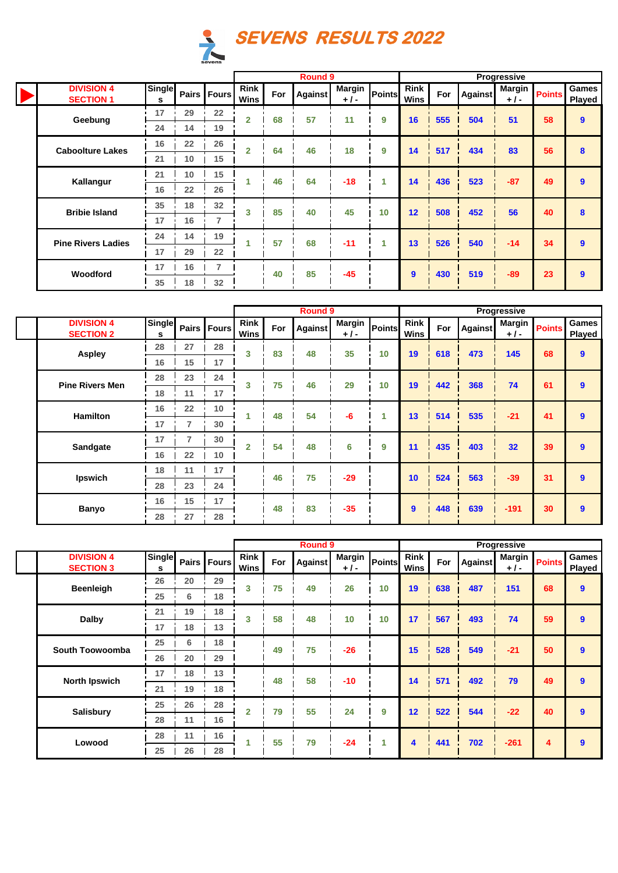

|                                       |                    |    |                |                     |     | <b>Round 9</b> |                        |               |              |     |                | Progressive            |               |                        |
|---------------------------------------|--------------------|----|----------------|---------------------|-----|----------------|------------------------|---------------|--------------|-----|----------------|------------------------|---------------|------------------------|
| <b>DIVISION 4</b><br><b>SECTION 1</b> | <b>Single</b><br>s |    | Pairs Fours    | <b>Rink</b><br>Wins | For | Against        | <b>Margin</b><br>$+1-$ | <b>Points</b> | Rink<br>Wins | For | <b>Against</b> | <b>Margin</b><br>$+1-$ | <b>Points</b> | <b>Games</b><br>Played |
|                                       | 17                 | 29 | 22             | $\overline{2}$      | 68  | 57             | 11                     | 9             | 16           | 555 | 504            | 51                     | 58            | 9                      |
| Geebung                               | 24                 | 14 | 19             |                     |     |                |                        |               |              |     |                |                        |               |                        |
| <b>Caboolture Lakes</b>               | 16                 | 22 | 26             | $\overline{2}$      | 64  | 46             | 18                     | 9             | 14           | 517 | 434            | 83                     | 56            | 8                      |
|                                       | 21                 | 10 | 15             |                     |     |                |                        |               |              |     |                |                        |               |                        |
| Kallangur                             | 21<br>10           | 15 |                | 46                  | 64  | $-18$          | 1                      | 14            | 436          | 523 | $-87$          | 49                     | 9             |                        |
|                                       | 16                 | 22 | 26             |                     |     |                |                        |               |              |     |                |                        |               |                        |
| <b>Bribie Island</b>                  | 35                 | 18 | 32             | 3                   | 85  | 40             | 45                     | 10            | 12           | 508 | 452            | 56                     | 40            | 8                      |
|                                       | 17                 | 16 | $\overline{7}$ |                     |     |                |                        |               |              |     |                |                        |               |                        |
| <b>Pine Rivers Ladies</b>             | 24                 | 14 | 19             |                     | 57  | 68             | $-11$                  | 1             | 13           | 526 | 540            | $-14$                  | 34            | $\mathbf{9}$           |
|                                       | 17                 | 29 | 22             |                     |     |                |                        |               |              |     |                |                        |               |                        |
| Woodford                              | 17                 | 16 | 7              |                     | 40  | 85             | $-45$                  |               |              | 430 | 519            | $-89$                  | 23            |                        |
|                                       | 35                 | 18 | 32             |                     |     |                |                        |               | 9            |     |                |                        |               | 9                      |

|                                       |                    |    |               | <b>Round 9</b>      |     |                |                        |        |                     |     |         | Progressive            |               |                  |
|---------------------------------------|--------------------|----|---------------|---------------------|-----|----------------|------------------------|--------|---------------------|-----|---------|------------------------|---------------|------------------|
| <b>DIVISION 4</b><br><b>SECTION 2</b> | <b>Single</b><br>s |    | Pairs   Fours | <b>Rink</b><br>Wins | For | <b>Against</b> | <b>Margin</b><br>$+1-$ | Points | <b>Rink</b><br>Wins | For | Against | <b>Margin</b><br>$+1-$ | <b>Points</b> | Games<br>Played  |
|                                       | 28                 | 27 | 28            | 3                   | 83  | 48             | 35                     | 10     | 19                  | 618 | 473     | 145                    | 68            | $\mathbf{9}$     |
| <b>Aspley</b>                         | 16                 | 15 | 17            |                     |     |                |                        |        |                     |     |         |                        |               |                  |
| <b>Pine Rivers Men</b>                | 28                 | 23 | 24            | 3                   | 75  | 46             | 29                     | 10     | 19                  | 442 | 368     | 74                     | 61            | $\boldsymbol{9}$ |
|                                       | 18                 | 11 | 17            |                     |     |                |                        |        |                     |     |         |                        |               |                  |
| <b>Hamilton</b>                       | 16                 | 22 | 10            |                     | 48  | 54             | $-6$                   |        | 13                  | 514 | 535     | $-21$                  | 41            | $\boldsymbol{9}$ |
|                                       | 17                 | 7  | 30            |                     |     |                |                        |        |                     |     |         |                        |               |                  |
| Sandgate                              | 17                 | 7  | 30            | $\overline{2}$      | 54  | 48             | 6                      | 9      | 11                  | 435 | 403     | 32                     | 39            | $\mathbf{9}$     |
|                                       | 16                 | 22 | 10            |                     |     |                |                        |        |                     |     |         |                        |               |                  |
| Ipswich                               | 18                 | 11 | 17            |                     | 46  | 75             | $-29$                  |        | 10                  | 524 | 563     | $-39$                  | 31            | $\mathbf{9}$     |
|                                       | 28                 | 23 | 24            |                     |     |                |                        |        |                     |     |         |                        |               |                  |
| <b>Banyo</b>                          | 16                 | 15 | 17            |                     | 48  | 83             | $-35$                  |        | $\mathbf{9}$        | 448 | 639     | $-191$                 | 30            | $\boldsymbol{9}$ |
|                                       | 28                 | 27 | 28            |                     |     |                |                        |        |                     |     |         |                        |               |                  |

|                                       |                    |    |             |                     | <b>Round 9</b> |                |                        |               |                     |     |                | Progressive            |               |                  |
|---------------------------------------|--------------------|----|-------------|---------------------|----------------|----------------|------------------------|---------------|---------------------|-----|----------------|------------------------|---------------|------------------|
| <b>DIVISION 4</b><br><b>SECTION 3</b> | <b>Single</b><br>s |    | Pairs Fours | <b>Rink</b><br>Wins | For            | <b>Against</b> | <b>Margin</b><br>$+1-$ | <b>Points</b> | <b>Rink</b><br>Wins | For | <b>Against</b> | <b>Margin</b><br>$+1-$ | <b>Points</b> | Games<br>Played  |
| <b>Beenleigh</b>                      | 26                 | 20 | 29          | 3                   | 75             | 49             | 26                     | 10            | 19                  | 638 | 487            | 151                    | 68            | $\boldsymbol{9}$ |
|                                       | 25                 | 6  | 18          |                     |                |                |                        |               |                     |     |                |                        |               |                  |
| <b>Dalby</b>                          | 21                 | 19 | 18          | 3                   | 58             | 48             | 10                     | 10            | 17                  | 567 | 493            | 74                     | 59            | $\overline{9}$   |
|                                       | 17                 | 18 | 13          |                     |                |                |                        |               |                     |     |                |                        |               |                  |
| South Toowoomba                       | 25                 | 6  | 18          |                     | 49             | 75             | $-26$                  |               | 15                  | 528 | 549            | $-21$                  | 50            | $\boldsymbol{9}$ |
|                                       | 26                 | 20 | 29          |                     |                |                |                        |               |                     |     |                |                        |               |                  |
| <b>North Ipswich</b>                  | 17                 | 18 | 13          |                     | 48             | 58             | $-10$                  |               | 14                  | 571 | 492            | 79                     | 49            | $\overline{9}$   |
|                                       | 21                 | 19 | 18          |                     |                |                |                        |               |                     |     |                |                        |               |                  |
| <b>Salisbury</b>                      | 25                 | 26 | 28          | $\overline{2}$      | 79             | 55             | 24                     | 9             | 12                  | 522 | 544            | $-22$                  | 40            | $\mathbf{9}$     |
|                                       | 28                 | 11 | 16          |                     |                |                |                        |               |                     |     |                |                        |               |                  |
| Lowood                                | 28                 | 11 | 16          |                     | 55             | 79             | $-24$                  | 1             | 4                   | 441 | 702            | $-261$                 | 4             | $\boldsymbol{9}$ |
|                                       | 25                 | 26 | 28          |                     |                |                |                        |               |                     |     |                |                        |               |                  |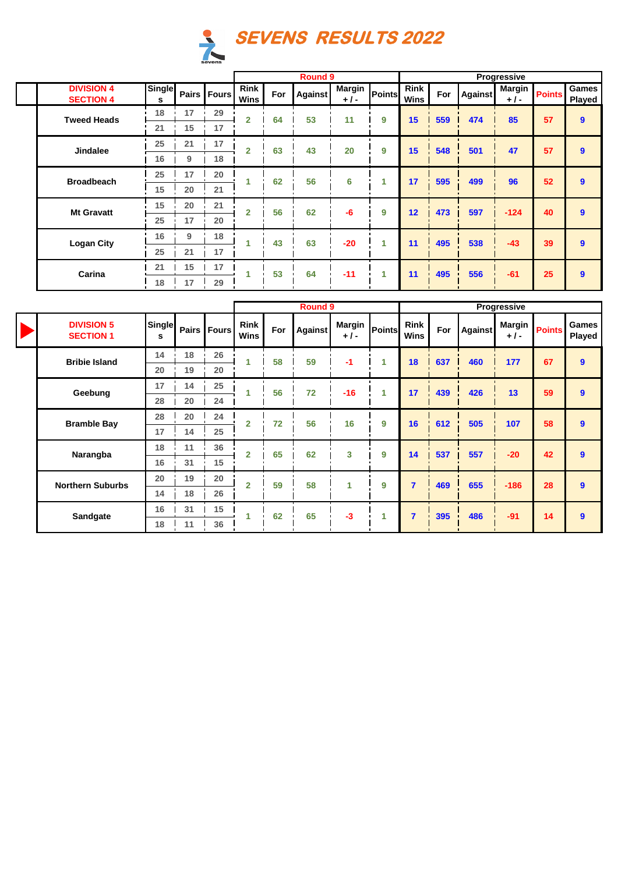

|                                       |             |    |               |                     |     | Round 9        |                        |        |                     |     |                | Progressive            |               |                        |
|---------------------------------------|-------------|----|---------------|---------------------|-----|----------------|------------------------|--------|---------------------|-----|----------------|------------------------|---------------|------------------------|
| <b>DIVISION 4</b><br><b>SECTION 4</b> | Single<br>s |    | Pairs   Fours | <b>Rink</b><br>Wins | For | <b>Against</b> | <b>Margin</b><br>$+1-$ | Points | <b>Rink</b><br>Wins | For | <b>Against</b> | <b>Margin</b><br>$+1-$ | <b>Points</b> | <b>Games</b><br>Played |
| <b>Tweed Heads</b>                    | 18          | 17 | 29            | $\overline{2}$      | 64  | 53             | 11                     | 9      | 15                  | 559 | 474            | 85                     | 57            | $\mathbf{9}$           |
|                                       | 21          | 15 | 17            |                     |     |                |                        |        |                     |     |                |                        |               |                        |
| <b>Jindalee</b>                       | 25          | 21 | 17            | $\overline{2}$      | 63  | 43             | 20                     | 9      | 15                  | 548 | 501            | 47                     | 57            | $\mathbf{9}$           |
|                                       | 16          | 9  | 18            |                     |     |                |                        |        |                     |     |                |                        |               |                        |
|                                       | 25          | 17 | 20            |                     | 62  | 56             |                        | 1      | 17                  |     |                | 96                     | 52            | $\mathbf{9}$           |
| <b>Broadbeach</b>                     | 15          | 20 | 21            |                     |     |                | 6                      |        |                     | 595 | 499            |                        |               |                        |
| <b>Mt Gravatt</b>                     | 15          | 20 | 21            | $\overline{2}$      | 56  | 62             | -6                     | 9      | 12                  |     |                |                        | 40            | 9                      |
|                                       | 25          | 17 | 20            |                     |     |                |                        |        |                     | 473 | 597            | $-124$                 |               |                        |
| <b>Logan City</b>                     | 16          | 9  | 18            |                     | 43  | 63             | $-20$                  | 1      | 11                  | 495 | 538            | $-43$                  | 39            | $\mathbf{9}$           |
|                                       | 25          | 21 | 17            |                     |     |                |                        |        |                     |     |                |                        |               |                        |
| Carina                                | 21          | 15 | 17            | 1                   | 53  | 64             | $-11$                  | 1      | 11                  | 495 | 556            | $-61$                  | 25            | 9                      |
|                                       | 18          | 17 | 29            |                     |     |                |                        |        |                     |     |                |                        |               |                        |

 $\overline{\phantom{a}}$ 

|                       |                                       |                    |          |               |                            |     | <b>Round 9</b> |                        |        |                            |     |                | Progressive     |               |                        |
|-----------------------|---------------------------------------|--------------------|----------|---------------|----------------------------|-----|----------------|------------------------|--------|----------------------------|-----|----------------|-----------------|---------------|------------------------|
| $\blacktriangleright$ | <b>DIVISION 5</b><br><b>SECTION 1</b> | <b>Single</b><br>s |          | Pairs   Fours | <b>Rink</b><br><b>Wins</b> | For | <b>Against</b> | <b>Margin</b><br>$+1-$ | Points | <b>Rink</b><br><b>Wins</b> | For | <b>Against</b> | Margin<br>$+1-$ | <b>Points</b> | <b>Games</b><br>Played |
|                       | <b>Bribie Island</b>                  | 14                 | 18       | 26            |                            | 58  | 59             | -1                     | 1      | 18                         | 637 | 460            | 177             | 67            | 9                      |
|                       |                                       | 20                 | 19       | 20            |                            |     |                |                        |        |                            |     |                |                 |               |                        |
|                       | Geebung                               | 17                 | 14       | 25            |                            | 56  | 72             | $-16$                  | 4      | 17                         | 439 | 426            | 13              | 59            | 9                      |
|                       |                                       | 28                 | 20       | 24            |                            |     |                |                        |        |                            |     |                |                 |               |                        |
|                       | <b>Bramble Bay</b>                    | 28                 | 20       | 24            | $\overline{2}$             | 72  | 56             | 16                     | 9      | 16                         | 612 | 505            | 107             | 58            | 9                      |
|                       |                                       | 17                 | 14       | 25            |                            |     |                |                        |        |                            |     |                |                 |               |                        |
|                       | Narangba                              | 18                 | 11       | 36            | $\overline{2}$             | 65  | 62             | 3                      | 9      | 14                         | 537 | 557            | $-20$           | 42            | 9                      |
|                       |                                       | 16                 | 31       | 15            |                            |     |                |                        |        |                            |     |                |                 |               |                        |
|                       | <b>Northern Suburbs</b>               | 20                 | 19       | 20            | $\overline{2}$             | 59  | 58             | 1                      | 9      | $\overline{7}$             | 469 | 655            | $-186$          | 28            | 9                      |
|                       |                                       | 14                 | 18       | 26            |                            |     |                |                        |        |                            |     |                |                 |               |                        |
|                       | Sandgate                              | 16                 | 31       | 15            |                            | 62  | 65             | $-3$                   | 1      | $\overline{7}$             | 395 | 486            | $-91$           | 14            | 9                      |
|                       |                                       | 18                 | 36<br>11 |               |                            |     |                |                        |        |                            |     |                |                 |               |                        |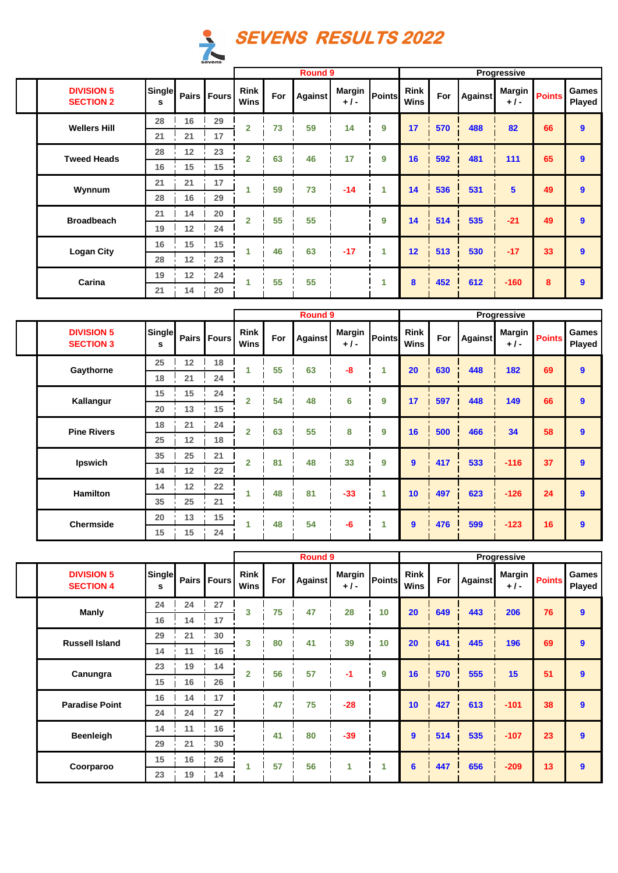

|                                       |                    |          |               |                            |     | <b>Round 9</b> |                        |        |                            |     |                | Progressive     |               |                 |
|---------------------------------------|--------------------|----------|---------------|----------------------------|-----|----------------|------------------------|--------|----------------------------|-----|----------------|-----------------|---------------|-----------------|
| <b>DIVISION 5</b><br><b>SECTION 2</b> | <b>Single</b><br>s |          | Pairs   Fours | <b>Rink</b><br><b>Wins</b> | For | Against        | <b>Margin</b><br>$+1-$ | Points | <b>Rink</b><br><b>Wins</b> | For | <b>Against</b> | Margin<br>$+1-$ | <b>Points</b> | Games<br>Played |
| <b>Wellers Hill</b>                   | 28                 | 16       | 29            | $\overline{2}$             | 73  | 59             | 14                     | 9      | 17                         | 570 | 488            | 82              | 66            | 9               |
|                                       | 21                 | 21       | 17            |                            |     |                |                        |        |                            |     |                |                 |               |                 |
| <b>Tweed Heads</b>                    | 28                 | 12       | 23            | $\overline{2}$             | 63  | 46             | 17                     | 9      | 16                         | 592 | 481            | 111             | 65            | 9               |
|                                       | 16                 | 15       | 15            |                            |     |                |                        |        |                            |     |                |                 |               |                 |
| Wynnum                                | 21                 | 17<br>21 | 1             | 59                         | 73  | $-14$          |                        | 14     | 536                        | 531 | 5              | 49              | 9             |                 |
|                                       | 28                 | 16       | 29            |                            |     |                |                        |        |                            |     |                |                 |               |                 |
| <b>Broadbeach</b>                     | 21                 | 14       | 20            | $\overline{2}$             | 55  | 55             |                        | 9      | 14                         | 514 | 535            | $-21$           | 49            | 9               |
|                                       | 19                 | 12       | 24            |                            |     |                |                        |        |                            |     |                |                 |               |                 |
| <b>Logan City</b>                     | 15<br>16           | 15       | 1             | 46                         | 63  | $-17$          |                        | 12     | 513                        | 530 | $-17$          | 33              | 9             |                 |
|                                       | 28<br>12<br>23     |          |               |                            |     |                |                        |        |                            |     |                |                 |               |                 |
| Carina                                | 19                 | 12       | 24            | 1                          | 55  | 55             |                        |        | 8                          | 452 | 612            | $-160$          | 8             | 9               |
|                                       | 21                 | 14       | 20            |                            |     |                |                        |        |                            |     |                |                 |               |                 |

|                                       |                    |    |             |                            |     | <b>Round 9</b> |                        |        |                            |     |                | Progressive            |               |                 |
|---------------------------------------|--------------------|----|-------------|----------------------------|-----|----------------|------------------------|--------|----------------------------|-----|----------------|------------------------|---------------|-----------------|
| <b>DIVISION 5</b><br><b>SECTION 3</b> | <b>Single</b><br>s |    | Pairs Fours | <b>Rink</b><br><b>Wins</b> | For | <b>Against</b> | <b>Margin</b><br>$+1-$ | Points | <b>Rink</b><br><b>Wins</b> | For | <b>Against</b> | <b>Margin</b><br>$+1-$ | <b>Points</b> | Games<br>Played |
| Gaythorne                             | 25                 | 12 | 18          | 1                          | 55  | 63             | $-8$                   | 1      | 20                         | 630 | 448            | 182                    | 69            | 9               |
|                                       | 18                 | 21 | 24          |                            |     |                |                        |        |                            |     |                |                        |               |                 |
| Kallangur                             | 15                 | 15 | 24          | $\overline{2}$             | 54  | 48             | 6                      | 9      | 17                         | 597 | 448            | 149                    | 66            | 9               |
|                                       | 20                 | 13 | 15          |                            |     |                |                        |        |                            |     |                |                        |               |                 |
| <b>Pine Rivers</b>                    | 18                 | 21 | 24          | $\overline{2}$             | 63  | 55             | 8                      | 9      | 16                         | 500 | 466            | 34                     | 58            | 9               |
|                                       | 25                 | 12 | 18          |                            |     |                |                        |        |                            |     |                |                        |               |                 |
| Ipswich                               | 35                 | 25 | 21          | $\overline{2}$             | 81  | 48             | 33                     | 9      | $\mathbf{9}$               | 417 | 533            | $-116$                 | 37            | $\mathbf{9}$    |
|                                       | 14                 | 12 | 22          |                            |     |                |                        |        |                            |     |                |                        |               |                 |
| <b>Hamilton</b>                       | 14                 | 12 | 22          | 1                          | 48  | 81             | $-33$                  | 1      | 10                         | 497 | 623            | $-126$                 | 24            | $\mathbf{9}$    |
|                                       | 35                 | 25 | 21          |                            |     |                |                        |        |                            |     |                |                        |               |                 |
| <b>Chermside</b>                      | 20                 | 13 | 15          | 1                          | 48  | 54             | $-6$                   | 4      | 9                          | 476 | 599            | $-123$                 | 16            | $\bf{9}$        |
|                                       | 15                 | 15 | 24          |                            |     |                |                        |        |                            |     |                |                        |               |                 |

|                                       |                    |    |               |                     |     | <b>Round 9</b> |                        |               |                            |     |                | Progressive            |               |                 |
|---------------------------------------|--------------------|----|---------------|---------------------|-----|----------------|------------------------|---------------|----------------------------|-----|----------------|------------------------|---------------|-----------------|
| <b>DIVISION 5</b><br><b>SECTION 4</b> | <b>Single</b><br>s |    | Pairs   Fours | Rink<br><b>Wins</b> | For | <b>Against</b> | <b>Margin</b><br>$+1-$ | <b>Points</b> | <b>Rink</b><br><b>Wins</b> | For | <b>Against</b> | <b>Margin</b><br>$+1-$ | <b>Points</b> | Games<br>Played |
| <b>Manly</b>                          | 24                 | 24 | 27            | 3                   | 75  | 47             | 28                     | 10            | 20                         | 649 | 443            | 206                    | 76            | 9               |
|                                       | 16                 | 14 | 17            |                     |     |                |                        |               |                            |     |                |                        |               |                 |
| <b>Russell Island</b>                 | 29                 | 21 | 30            | 3                   | 80  | 41             | 39                     | 10            | 20                         | 641 | 445            | 196                    | 69            | 9               |
|                                       | 14                 | 11 | 16            |                     |     |                |                        |               |                            |     |                |                        |               |                 |
| Canungra                              | 23                 | 19 | 14            | $\overline{2}$      | 56  | 57             | $-1$                   | 9             | 16                         | 570 | 555            | 15                     | 51            | 9               |
|                                       | 15                 | 16 | 26            |                     |     |                |                        |               |                            |     |                |                        |               |                 |
| <b>Paradise Point</b>                 | 16                 | 14 | 17            |                     | 47  | 75             | $-28$                  |               | 10                         | 427 | 613            | $-101$                 | 38            | 9               |
|                                       | 24                 | 24 | 27            |                     |     |                |                        |               |                            |     |                |                        |               |                 |
| <b>Beenleigh</b>                      | 14                 | 11 | 16            |                     | 41  | 80             | $-39$                  |               | 9                          | 514 | 535            | $-107$                 | 23            | 9               |
|                                       | 29                 | 21 | 30            |                     |     |                |                        |               |                            |     |                |                        |               |                 |
| Coorparoo                             | 15                 | 16 | 26            |                     | 57  | 56             | 1                      | 1             | $6\phantom{1}6$            | 447 | 656            | $-209$                 | 13            | 9               |
|                                       | 23                 | 19 | 14            |                     |     |                |                        |               |                            |     |                |                        |               |                 |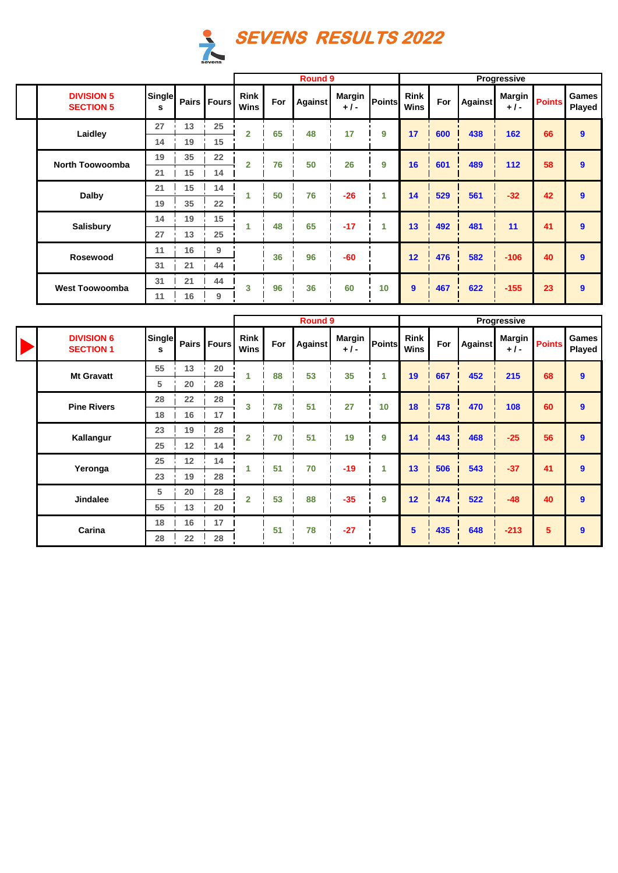

|                                       |             |    |               |                            |     | Round 9        |                 |               |                            |     |         | <b>Progressive</b> |               |                 |
|---------------------------------------|-------------|----|---------------|----------------------------|-----|----------------|-----------------|---------------|----------------------------|-----|---------|--------------------|---------------|-----------------|
| <b>DIVISION 5</b><br><b>SECTION 5</b> | Single<br>s |    | Pairs   Fours | <b>Rink</b><br><b>Wins</b> | For | <b>Against</b> | Margin<br>$+1-$ | <b>Points</b> | <b>Rink</b><br><b>Wins</b> | For | Against | Margin<br>$+1-$    | <b>Points</b> | Games<br>Played |
| Laidley                               | 27          | 13 | 25            | $\overline{2}$             | 65  | 48             | 17              | 9             | 17                         | 600 | 438     | 162                | 66            | 9               |
|                                       | 14          | 19 | 15            |                            |     |                |                 |               |                            |     |         |                    |               |                 |
| <b>North Toowoomba</b>                | 19          | 35 | 22            | $\overline{2}$             | 76  | 50             | 26              | 9             | 16                         | 601 | 489     | $112$              | 58            | $\bf{9}$        |
|                                       | 21          | 15 | 14            |                            |     |                |                 |               |                            |     |         |                    |               |                 |
| Dalby                                 | 21          | 15 | 14            | 1                          | 50  | 76             | $-26$           | 1             | 14                         | 529 | 561     | $-32$              | 42            | $\bf{9}$        |
|                                       | 19          | 35 | 22            |                            |     |                |                 |               |                            |     |         |                    |               |                 |
| Salisbury                             | 14          | 19 | 15            | 1                          | 48  | 65             | $-17$           |               | 13                         | 492 | 481     | 11                 | 41            | $\bf{9}$        |
|                                       | 27          | 13 | 25            |                            |     |                |                 |               |                            |     |         |                    |               |                 |
| Rosewood                              | 11          | 16 | 9             |                            | 36  | 96             | $-60$           |               | 12                         | 476 | 582     | $-106$             | 40            | 9               |
|                                       | 31          | 21 | 44            |                            |     |                |                 |               |                            |     |         |                    |               |                 |
| <b>West Toowoomba</b>                 | 31          | 21 | 44            | 3                          | 96  | 36             | 60              | 10            | $\boldsymbol{9}$           | 467 | 622     | $-155$             | 23            | 9               |
|                                       | 11          | 16 | 9             |                            |     |                |                 |               |                            |     |         |                    |               |                 |

|                                       |             |    |             |                     |     | <b>Round 9</b> |                        |        |                            |     |                | Progressive            |               |                 |
|---------------------------------------|-------------|----|-------------|---------------------|-----|----------------|------------------------|--------|----------------------------|-----|----------------|------------------------|---------------|-----------------|
| <b>DIVISION 6</b><br><b>SECTION 1</b> | Single<br>s |    | Pairs Fours | <b>Rink</b><br>Wins | For | <b>Against</b> | <b>Margin</b><br>$+1-$ | Points | <b>Rink</b><br><b>Wins</b> | For | <b>Against</b> | <b>Margin</b><br>$+1-$ | <b>Points</b> | Games<br>Played |
| <b>Mt Gravatt</b>                     | 55          | 13 | 20          | 1                   | 88  | 53             | 35                     | 1      | 19                         | 667 | 452            | 215                    | 68            | 9               |
|                                       | 5           | 20 | 28          |                     |     |                |                        |        |                            |     |                |                        |               |                 |
| <b>Pine Rivers</b>                    | 28          | 22 | 28          | 3                   | 78  | 51             | 27                     | 10     | 18                         | 578 | 470            | 108                    | 60            | 9               |
|                                       | 18          | 16 | 17          |                     |     |                |                        |        |                            |     |                |                        |               |                 |
| Kallangur                             | 23          | 19 | 28          | $\overline{2}$      | 70  | 51             | 19                     | 9      | 14                         | 443 | 468            | $-25$                  | 56            | 9               |
|                                       | 25          | 12 | 14          |                     |     |                |                        |        |                            |     |                |                        |               |                 |
| Yeronga                               | 25          | 12 | 14          | 1                   | 51  | 70             | $-19$                  | 1      | 13                         | 506 | 543            | $-37$                  | 41            | 9               |
|                                       | 23          | 19 | 28          |                     |     |                |                        |        |                            |     |                |                        |               |                 |
| Jindalee                              | 5           | 20 | 28          | $\overline{2}$      | 53  | 88             | $-35$                  | 9      | 12                         | 474 | 522            | $-48$                  | 40            | 9               |
|                                       | 55          | 13 | 20          |                     |     |                |                        |        |                            |     |                |                        |               |                 |
| Carina                                | 18<br>16    | 17 |             | 51                  | 78  | $-27$          |                        | 5      | 435                        | 648 | $-213$         | 5                      | 9             |                 |
|                                       | 28          | 22 | 28          |                     |     |                |                        |        |                            |     |                |                        |               |                 |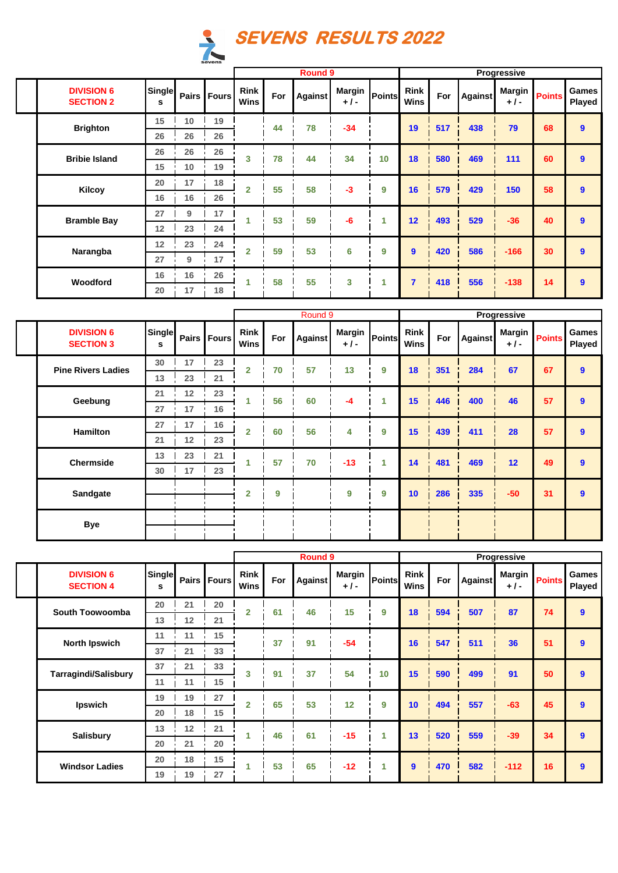

|                                       |                    |       |           |                            |     | <b>Round 9</b> |                        |        |                            |     |         | Progressive            |               |                 |
|---------------------------------------|--------------------|-------|-----------|----------------------------|-----|----------------|------------------------|--------|----------------------------|-----|---------|------------------------|---------------|-----------------|
| <b>DIVISION 6</b><br><b>SECTION 2</b> | <b>Single</b><br>s | Pairs | l Fours l | <b>Rink</b><br><b>Wins</b> | For | <b>Against</b> | <b>Margin</b><br>$+1-$ | Points | <b>Rink</b><br><b>Wins</b> | For | Against | <b>Margin</b><br>$+1-$ | <b>Points</b> | Games<br>Played |
| <b>Brighton</b>                       | 15                 | 10    | 19        |                            | 44  | 78             | $-34$                  |        | 19                         | 517 | 438     | 79                     | 68            | 9               |
|                                       | 26                 | 26    | 26        |                            |     |                |                        |        |                            |     |         |                        |               |                 |
| <b>Bribie Island</b>                  | 26                 | 26    | 26        | 3                          | 78  | 44             | 34                     | 10     | 18                         | 580 | 469     | 111                    | 60            | 9               |
|                                       | 15                 | 10    | 19<br>18  |                            |     |                |                        |        |                            |     |         |                        |               |                 |
|                                       | 20                 | 17    |           | $\overline{2}$             | 55  | 58             | $-3$                   | 9      | 16                         | 579 | 429     | 150                    | 58            | 9               |
| Kilcoy                                | 16                 | 16    | 26        |                            |     |                |                        |        |                            |     |         |                        |               |                 |
| <b>Bramble Bay</b>                    | 27                 | 9     | 17        | 1                          | 53  | 59             | -6                     | 1      | 12                         | 493 | 529     | $-36$                  | 40            | 9               |
|                                       | 12                 | 23    | 24        |                            |     |                |                        |        |                            |     |         |                        |               |                 |
|                                       | 12                 | 23    | 24        | $\overline{2}$             | 59  | 53             | 6                      | 9      | 9                          | 420 | 586     | $-166$                 | 30            | 9               |
| Narangba                              | 27                 | 9     | 17        |                            |     |                |                        |        |                            |     |         |                        |               |                 |
| Woodford                              | 16                 | 16    | 26        | 1                          | 58  | 55             | 3                      | 1      | $\overline{7}$             | 418 | 556     | $-138$                 | 14            | 9               |
|                                       | 20                 | 17    | 18        |                            |     |                |                        |        |                            |     |         |                        |               |                 |

|                                       |                    |    |               |                            |     | Round <sub>9</sub> |                        |                      |                            |     |         | Progressive            |               |                 |
|---------------------------------------|--------------------|----|---------------|----------------------------|-----|--------------------|------------------------|----------------------|----------------------------|-----|---------|------------------------|---------------|-----------------|
| <b>DIVISION 6</b><br><b>SECTION 3</b> | <b>Single</b><br>s |    | Pairs   Fours | <b>Rink</b><br><b>Wins</b> | For | <b>Against</b>     | <b>Margin</b><br>$+1-$ | Points               | <b>Rink</b><br><b>Wins</b> | For | Against | <b>Margin</b><br>$+1-$ | <b>Points</b> | Games<br>Played |
| <b>Pine Rivers Ladies</b>             | 30                 | 17 | 23            | $\overline{2}$             | 70  | 57                 | 13                     | 9                    | 18                         | 351 | 284     | 67                     | 67            | 9               |
|                                       | 13                 | 23 | 21            |                            |     |                    |                        |                      |                            |     |         |                        |               |                 |
| Geebung                               | 21                 | 12 | 23            |                            | 56  | 60                 | $-4$                   | 1                    | 15                         | 446 | 400     | 46                     | 57            | 9               |
|                                       | 27                 | 17 | 16            |                            |     |                    |                        |                      |                            |     |         |                        |               |                 |
| <b>Hamilton</b>                       | 27                 | 17 | 16            | $\overline{2}$             | 60  | 56                 | 4                      | 9                    | 15                         | 439 | 411     | 28                     | 57            | 9               |
|                                       | 21                 | 12 | 23            |                            |     |                    |                        |                      |                            |     |         |                        |               |                 |
| Chermside                             | 13                 | 23 | 21            | 1                          | 57  | 70                 | $-13$                  | $\blacktriangleleft$ | 14                         | 481 | 469     | 12 <sup>2</sup>        | 49            | $\mathbf{9}$    |
|                                       | 30                 | 17 | 23            |                            |     |                    |                        |                      |                            |     |         |                        |               |                 |
| <b>Sandgate</b>                       |                    |    |               | $\overline{2}$             | 9   |                    | 9                      | 9                    | 10                         | 286 | 335     | $-50$                  | 31            | $\mathbf{9}$    |
| <b>Bye</b>                            |                    |    |               |                            |     |                    |                        |                      |                            |     |         |                        |               |                 |
|                                       |                    |    |               |                            |     | <b>Daniel A</b>    |                        |                      |                            |     |         | <b>Desaussalier</b>    |               |                 |

|                                       |                    |    |             |                            |     | <b>Round 9</b> |                        |        |                            |     |                | Progressive     |               |                  |
|---------------------------------------|--------------------|----|-------------|----------------------------|-----|----------------|------------------------|--------|----------------------------|-----|----------------|-----------------|---------------|------------------|
| <b>DIVISION 6</b><br><b>SECTION 4</b> | <b>Single</b><br>s |    | Pairs Fours | <b>Rink</b><br><b>Wins</b> | For | Against        | <b>Margin</b><br>$+1-$ | Points | <b>Rink</b><br><b>Wins</b> | For | <b>Against</b> | Margin<br>$+1-$ | <b>Points</b> | Games<br>Played  |
| South Toowoomba                       | 20                 | 21 | 20          | $\overline{2}$             | 61  | 46             | 15                     | 9      | 18                         | 594 | 507            | 87              | 74            | $\boldsymbol{9}$ |
|                                       | 13                 | 12 | 21          |                            |     |                |                        |        |                            |     |                |                 |               |                  |
| <b>North Ipswich</b>                  | 11                 | 11 | 15          |                            | 37  | 91             | $-54$                  |        | 16                         | 547 | 511            | 36              | 51            | $\boldsymbol{9}$ |
|                                       | 37                 | 21 | 33          |                            |     |                |                        |        |                            |     |                |                 |               |                  |
| <b>Tarragindi/Salisbury</b>           | 37                 | 21 | 33          | 3                          | 91  | 37             | 54                     | 10     | 15                         | 590 | 499            | 91              | 50            | $\boldsymbol{9}$ |
|                                       | 11                 | 11 | 15          |                            |     |                |                        |        |                            |     |                |                 |               |                  |
| Ipswich                               | 19                 | 19 | 27          | $\overline{2}$             | 65  | 53             | 12                     | 9      | 10                         | 494 | 557            | $-63$           | 45            | 9                |
|                                       | 20                 | 18 | 15          |                            |     |                |                        |        |                            |     |                |                 |               |                  |
| <b>Salisbury</b>                      | 13                 | 12 | 21          |                            | 46  | 61             | $-15$                  | 1      | 13                         | 520 | 559            | $-39$           | 34            | $\mathbf{9}$     |
|                                       | 20                 | 21 | 20          |                            |     |                |                        |        |                            |     |                |                 |               |                  |
| <b>Windsor Ladies</b>                 | 20                 | 18 | 15          |                            | 53  | 65             | $-12$                  | 1.     | 9                          | 470 | 582            | $-112$          | 16            | $\boldsymbol{9}$ |
|                                       | 19                 | 19 | 27          |                            |     |                |                        |        |                            |     |                |                 |               |                  |